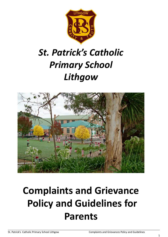

# *St. Patrick's Catholic Primary School Lithgow*



# **Complaints and Grievance Policy and Guidelines for Parents**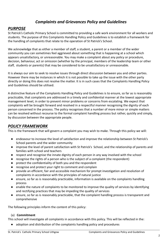# *Complaints and Grievances Policy and Guidelines*

## *PURPOSE*

St Patrick's Catholic Primary School is committed to providing a safe work environment for all workers and students. The purpose of this Complaints Handling Policy and Guidelines is to establish a framework for the handling of complaints that relate to the operation of St Patrick's School.

We acknowledge that as either a member of staff, a student, a parent or a member of the wider community you can sometimes feel aggrieved about something that is happening at a school which appears unsatisfactory, or unreasonable. You may make a complaint about any policy or procedure, decision, behaviour, act or omission (whether by the principal, members of the leadership team or other staff, students or parents) that may be considered to be unsatisfactory or unreasonable.

It is always our aim to seek to resolve issues through direct discussion between you and other parties. However there may be instances in which it is not possible to take up the issue with the other party directly or doing this does not resolve the matter. It is in such cases that the Complaints Handling Policy and Guidelines should be utilised.

A distinctive feature of the Complaints Handling Policy and Guidelines is to ensure, so far as is reasonably practicable, that complaints are addressed in a timely and confidential manner at the lowest appropriate management level, in order to prevent minor problems or concerns from escalating. We expect that complaints will be brought forward and resolved in a respectful manner recognising the dignity of each person concerned in the process. The policy recognises that a number of more minor or simple matters can be resolved without recourse to the formal complaint handling process but rather, quickly and simply, by discussion between the appropriate people.

## *POLICY FRAMEWORK*

This is the framework that will govern a complaint you may wish to make. Through this policy we will:

- endeavour to increase the level of satisfaction and improve the relationship between St Patrick's School parents and the wider community
- improve the level of parent satisfaction with St Patrick's School, and the relationship of parents and families with school and teachers
- respect and recognise the innate dignity of each person in any way involved with the school
- recognise the rights of a person who is the subject of a complaint (the respondent)
- protect the confidentiality of both you and the respondent
- recognise and protect your right to comment and complain
- provide an efficient, fair and accessible mechanism for prompt investigation and resolution of complaints in accordance with the principles of natural justice
- ensure, so far as is reasonably practicable, information is available on the complaints handling process
- enable the nature of complaints to be monitored to improve the quality of services by identifying and rectifying practices that may be impeding the quality of services
- ensure, so far as is reasonably practicable, that the complaint handling process is transparent and comprehensive

The following principles inform the content of this policy:

#### (a) **Commitment**

This school will investigate all complaints in accordance with this policy. This will be reflected in the:

● adoption and distribution of the complaints handling policy and procedures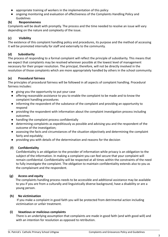- appropriate training of workers in the implementation of this policy
- ongoing monitoring and evaluation of effectiveness of the Complaints Handling Policy and Guidelines

#### **(b) Responsiveness**

Complaints will be dealt with promptly. The process and the time needed to resolve an issue will vary depending on the nature and complexity of the issue.

#### **(c) Visibility**

The existence of this complaint handling policy and procedures, its purpose and the method of accessing it will be promoted internally for staff and externally to the community.

#### **(d) Subsidiarity**

The process of responding to a formal complaint will reflect the principle of subsidiarity. This means that we expect that complaints may be resolved wherever possible at the lowest level of management necessary for their proper resolution. The principal, therefore, will not be directly involved in the resolution of those complaints which are more appropriately handled by others in the school community.

#### **(e) Procedural fairness**

The principles of procedural fairness will be followed in all aspects of complaint handling. Procedural fairness includes:

- giving you the opportunity to put your case
- offering reasonable assistance to you to enable the complaint to be made and to know the complaint handling procedures
- informing the respondent of the substance of the complaint and providing an opportunity to respond
- providing the respondent with information about the complaint investigation process including outcomes
- handling the complaint process confidentially
- determining complaints as expeditiously as possible and advising you and the respondent of the outcome of the investigation;
- assessing the facts and circumstances of the situation objectively and determining the complaint fairly and equitably;
- providing you with details of the determination and reasons for the decision

#### **(f) Confidentiality**

Confidentiality is an obligation to the provider of information while privacy is an obligation to the subject of the information. In making a complaint you can feel secure that your complaint will remain confidential. Confidentiality will be respected at all times within the constraints of the need to fully investigate the complaint. The obligation to maintain confidentiality extends also to you as the complainant and the respondent.

#### **(g) Access and equity**

The complaints handling process needs to be accessible and additional assistance may be available to you if you are from a culturally and linguistically diverse background, have a disability or are a young person.

#### **(h) No victimisation**

If you make a complaint in good faith you will be protected from detrimental action including victimisation or unfair treatment.

#### **(i) Vexatious or malicious complaints**

There is an underlying assumption that complaints are made in good faith (and with good will) and with an intention for resolution as opposed to retribution.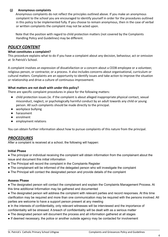#### **(j) Anonymous complaints**

Anonymous complaints do not reflect the principles outlined above. If you make an anonymous complaint to the school you are encouraged to identify yourself in order for the procedures outlined in this policy to be implemented fully. If you choose to remain anonymous, then in the case of verbal or written complaints the complaint may not be acted upon.

Note that the position with regard to child protection matters (not covered by the Complaints Handling Policy and Guidelines) may be different.

## *POLICY CONTENT*

#### **What constitutes a complaint?**

This procedure explains what to do if you have a complaint about any decision, behaviour, act or omission at St Patrick's School.

A complaint involves an expression of dissatisfaction or a concern about a CEDB employee or a volunteer, religious person, or contractor, or a process. It also includes concerns about organisational, curriculum or cultural matters. Complaints are an opportunity to identify issues and take action to improve the situation or relationship and drive a culture of continuous improvement.

#### **What matters are not dealt with under this policy?**

There are specific complaint procedures in place for the following matters:

- child protection issues (ie. if the complaint is about alleged inappropriate physical contact, sexual misconduct, neglect, or psychologically harmful conduct by an adult towards any child or young person. All such complaints should be made directly to the principal.
- workplace bullying
- harassment
- enrolment
- employment relations

You can obtain further information about how to pursue complaints of this nature from the principal.

### *PROCEDURES*

After a complaint is received at a school, the following will happen:

#### **Initial Phase**

● The principal or individual receiving the complaint will obtain information from the complainant about the issue and document this initial information

- The Principal will record the complaint in the Complaints Register
- The complainant will be informed of the delegated person who will investigate the complaint
- The Principal will contact the designated person and provide details of the complaint

#### **Assess Phase**

● The designated person will contact the complainant and explain the Complaints Management Process. At this time additional Information may be gathered and documented

• The designated person will address the complaint with relevant parties and record responses. At this time clarification may be required and more than one communication may be required with the persons involved. All parties are welcome to have a support person present at any meeting

● In the interests of confidentiality, only relevant witnesses will be interviewed and the importance of confidentiality will be stressed. A breach of confidentiality will be dealt with as a serious matter

- The designated person will document the process and all information gathered at all stages
- If deemed necessary, the police or another outside agency may be contacted for involvement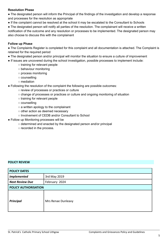#### **Resolution Phase**

● The designated person will inform the Principal of the findings of the investigation and develop a response and processes for the resolution as appropriate

● If the complaint cannot be resolved at the school it may be escalated to the Consultant to Schools

• The designated person will notify all parties of the resolution. The complainant will receive a written notification of the outcome and any resolution or processes to be implemented. The designated person may also choose to discuss this with the complainant

#### **Follow up Phase**

● The Complaints Register is completed for this complaint and all documentation is attached. The Complaint is retained for the required period

- The designated person and/or principal will monitor the situation to ensure a culture of improvement
- If issues are uncovered during the school investigation, possible processes to implement include:
	- training for relevant people
	- behaviour monitoring
	- process monitoring
	- counselling
	- mediation
- Following the resolution of the complaint the following are possible outcomes:
	- review of processes or practices or culture
	- change of processes or practices or culture and ongoing monitoring of situation
	- training for relevant people
	- counselling
	- a written apology to the complainant
	- other action as deemed necessary
	- Involvement of CEDB and/or Consultant to School
- Follow up Monitoring processes will be
	- determined and enacted by the designated person and/or principal
	- recorded in the process.

#### **POLICY REVIEW**

| <b>POLICY DATES</b>    |                    |
|------------------------|--------------------|
| <b>Implemented</b>     | 3rd May 2019       |
| <b>Next Review Due</b> | February 2024      |
| POLICY AUTHORISATION   |                    |
| <b>Principal</b>       | Mrs Renae Dunleavy |